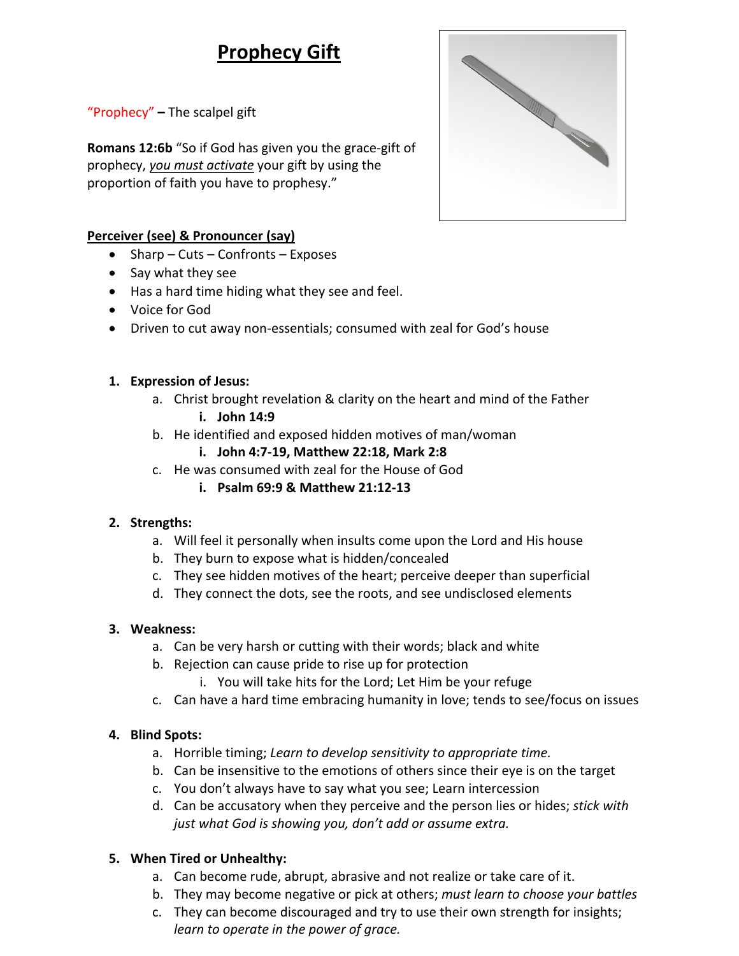# **Prophecy Gift**

"Prophecy" **–** The scalpel gift

**Romans 12:6b** "So if God has given you the grace-gift of prophecy, *you must activate* your gift by using the proportion of faith you have to prophesy."

# **Perceiver (see) & Pronouncer (say)**

- Sharp Cuts Confronts Exposes
- Say what they see
- Has a hard time hiding what they see and feel.
- Voice for God
- Driven to cut away non-essentials; consumed with zeal for God's house

#### **1. Expression of Jesus:**

- a. Christ brought revelation & clarity on the heart and mind of the Father **i. John 14:9**
- b. He identified and exposed hidden motives of man/woman

# **i. John 4:7-19, Matthew 22:18, Mark 2:8**

- c. He was consumed with zeal for the House of God
	- **i. Psalm 69:9 & Matthew 21:12-13**

# **2. Strengths:**

- a. Will feel it personally when insults come upon the Lord and His house
- b. They burn to expose what is hidden/concealed
- c. They see hidden motives of the heart; perceive deeper than superficial
- d. They connect the dots, see the roots, and see undisclosed elements

# **3. Weakness:**

- a. Can be very harsh or cutting with their words; black and white
- b. Rejection can cause pride to rise up for protection
	- i. You will take hits for the Lord; Let Him be your refuge
- c. Can have a hard time embracing humanity in love; tends to see/focus on issues

# **4. Blind Spots:**

- a. Horrible timing; *Learn to develop sensitivity to appropriate time.*
- b. Can be insensitive to the emotions of others since their eye is on the target
- c. You don't always have to say what you see; Learn intercession
- d. Can be accusatory when they perceive and the person lies or hides; *stick with just what God is showing you, don't add or assume extra.*

# **5. When Tired or Unhealthy:**

- a. Can become rude, abrupt, abrasive and not realize or take care of it.
- b. They may become negative or pick at others; *must learn to choose your battles*
- c. They can become discouraged and try to use their own strength for insights; *learn to operate in the power of grace.*